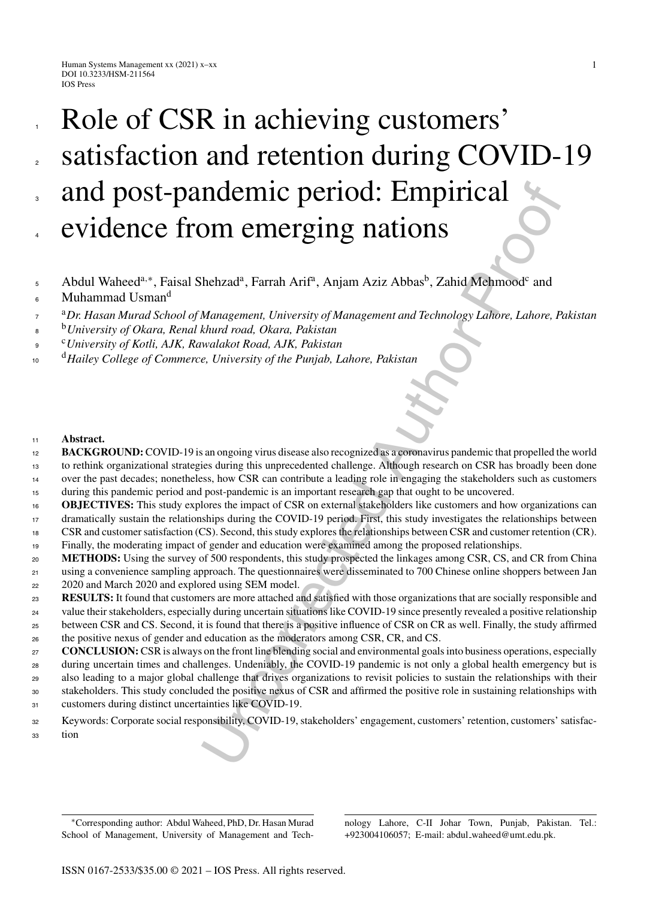# **note and the summarized Author Constrainers**<br> **Comparison Constrainers**<br> **Comparison Comparison** Changement and Technology Laitore, Lahore, P. Wald Mehmodo<sup>4</sup> and Management, University of Management and Technology Laitor Role of CSR in achieving customers' satisfaction and retention during COVID-19 and post-pandemic period: Empirical evidence from emerging nations 1 2 3 4

- Abdul Waheed<sup>a,∗</sup>, Faisal Shehzad<sup>a</sup>, Farrah Arif<sup>a</sup>, Anjam Aziz Abbas<sup>b</sup>, Zahid Mehmood<sup>c</sup> and Muhammad Usmand 5 6
- <sup>a</sup> <sup>7</sup> *Dr. Hasan Murad School of Management, University of Management and Technology Lahore, Lahore, Pakistan*
- <sup>b</sup> <sup>8</sup> *University of Okara, Renal khurd road, Okara, Pakistan*
- <sup>c</sup> <sup>9</sup> *University of Kotli, AJK, Rawalakot Road, AJK, Pakistan*
- <sup>d</sup> <sup>10</sup> *Hailey College of Commerce, University of the Punjab, Lahore, Pakistan*

## <sup>11</sup> **Abstract.**

- **BACKGROUND:** COVID-19 is an ongoing virus disease also recognized as a coronavirus pandemic that propelled the world 12
- to rethink organizational strategies during this unprecedented challenge. Although research on CSR has broadly been done over the past decades; nonetheless, how CSR can contribute a leading role in engaging the stakeholders such as customers during this pandemic period and post-pandemic is an important research gap that ought to be uncovered. 13 14 15
- **OBJECTIVES:** This study explores the impact of CSR on external stakeholders like customers and how organizations can dramatically sustain the relationships during the COVID-19 period. First, this study investigates the relationships between 16 17
- CSR and customer satisfaction (CS). Second, this study explores the relationships between CSR and customer retention (CR). 18
- Finally, the moderating impact of gender and education were examined among the proposed relationships. 19
- **METHODS:** Using the survey of 500 respondents, this study prospected the linkages among CSR, CS, and CR from China  $20$
- using a convenience sampling approach. The questionnaires were disseminated to 700 Chinese online shoppers between Jan 21
- 2020 and March 2020 and explored using SEM model. 22
- **RESULTS:** It found that customers are more attached and satisfied with those organizations that are socially responsible and 23
- value their stakeholders, especially during uncertain situations like COVID-19 since presently revealed a positive relationship 24
- between CSR and CS. Second, it is found that there is a positive influence of CSR on CR as well. Finally, the study affirmed 25
- the positive nexus of gender and education as the moderators among CSR, CR, and CS. 26
- **CONCLUSION:** CSR is always on the front line blending social and environmental goals into business operations, especially 27
- during uncertain times and challenges. Undeniably, the COVID-19 pandemic is not only a global health emergency but is 28
- also leading to a major global challenge that drives organizations to revisit policies to sustain the relationships with their stakeholders. This study concluded the positive nexus of CSR and affirmed the positive role in sustaining relationships with 29
- customers during distinct uncertainties like COVID-19. 30 31
- Keywords: Corporate social responsibility, COVID-19, stakeholders' engagement, customers' retention, customers' satisfaction 32 33

nology Lahore, C-II Johar Town, Punjab, Pakistan. Tel.: +923004106057; E-mail: abdul [waheed@umt.edu.pk](mailto:abdul_waheed@umt.edu.pk).

<sup>∗</sup>Corresponding author: Abdul Waheed, PhD, Dr. Hasan Murad School of Management, University of Management and Tech-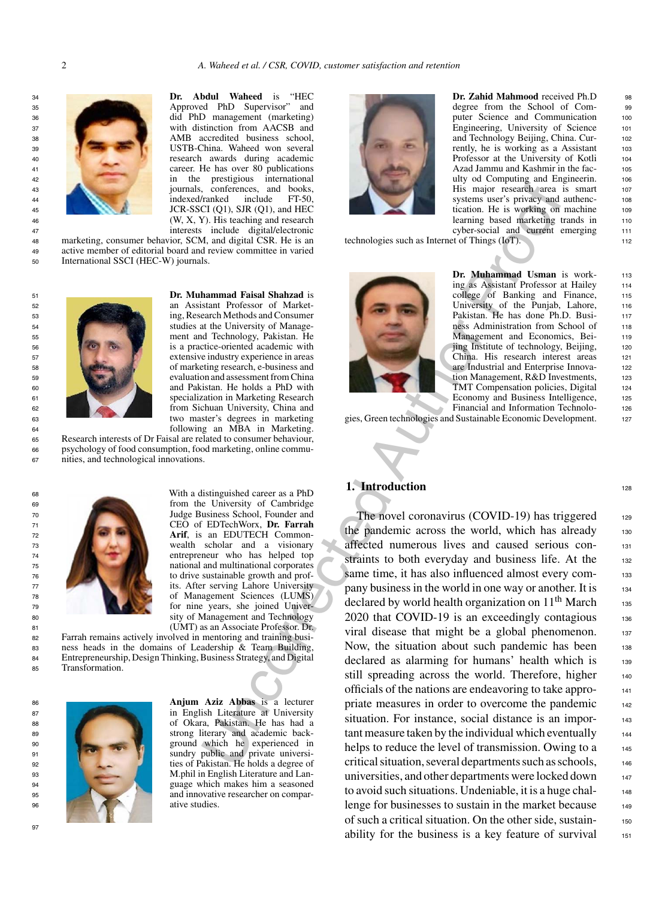

<sup>34</sup> **Dr. Abdul Waheed** is "HEC Approved PhD Supervisor" and Approved PhD Supervisor" <sup>36</sup> did PhD management (marketing) 37 with distinction from AACSB and<br>38 AMB accredited business school AMB accredited business school, <sup>39</sup> USTB-China. Waheed won several<br><sup>40</sup> usesearch awards during academic research awards during academic 41 career. He has over 80 publications 42 in the prestigious international <sup>43</sup> journals, conferences, and books, 44 indexed/ranked include FT-50,<br>ICR-SSCI (O1) SIR (O1) and HFC JCR-SSCI (Q1), SJR (Q1), and HEC 46 (W, X, Y). His teaching and research 47 interests include digital/electronic

47 interests include digital/electronic<br>48 marketing, consumer behavior, SCM, and digital CSR. He is an 48 marketing, consumer behavior, SCM, and digital CSR. He is an active member of editorial board and review committee in varied active member of editorial board and review committee in varied <sup>50</sup> International SSCI (HEC-W) journals.



51 **Dr. Muhammad Faisal Shahzad** is<br>52 **Dr. Muhammad Faisal Shahzad** is an Assistant Professor of Market-<sup>53</sup> ing, Research Methods and Consumer<br>54<br>**54** studies at the University of Managestudies at the University of Manage-<sup>55</sup> ment and Technology, Pakistan. He 56 is a practice-oriented academic with<br>57 is a practice-oriented academic with<br>stensive industry experience in areas extensive industry experience in areas <sup>58</sup> of marketing research, e-business and <sup>59</sup> evaluation and assessment from China <sup>60</sup> and Pakistan. He holds a PhD with 61 specialization in Marketing Research<br>from Sichuan University. China and from Sichuan University, China and <sup>63</sup> two master's degrees in marketing <sup>64</sup> following an MBA in Marketing.

<sup>65</sup> Research interests of Dr Faisal are related to consumer behaviour, <sup>66</sup> psychology of food consumption, food marketing, online commu-<sup>67</sup> nities, and technological innovations.



 from the University of Cambridge 70 Judge Business School, Founder and CEO of EDTechWorx. Dr. Farrah CEO of EDTechWorx, **Dr. Farrah Arif**, is an EDUTECH Common- wealth scholar and a visionary entrepreneur who has helped top national and multinational corporates to drive sustainable growth and profto drive sustainable growth and prof-77 its. After serving Lahore University of Management Sciences (LUMS) for nine years, she joined Univer-80 sity of Management and Technology

81 (UMT) as an Associate Professor. Dr.<br>82 Farrah remains actively involved in mentoring and training busi-82 Farrah remains actively involved in mentoring and training business heads in the domains of Leadership & Team Building, ness heads in the domains of Leadership  $\&$  Team Building, <sup>84</sup> Entrepreneurship, Design Thinking, Business Strategy, and Digital Transformation.



97

<sup>86</sup> **Anjum Aziz Abbas** is a lecturer 87 in English Literature at University 88 of Okara, Pakistan. He has had a 89 strong literary and academic back-<br>90 strong which he experienced in ground which he experienced in 91 **Sundry public and private universi-**92 ties of Pakistan. He holds a degree of 93 M.phil in English Literature and Lan-<sup>94</sup> guage which makes him a seasoned 95 and innovative researcher on compar-



**Dr. Zahid Mahmood** received Ph.D 98<br>degree from the School of Comdegree from the School of Computer Science and Communication 100 Engineering, University of Science<br>and Technology Beijing China Cur-<br>102 and Technology Beijing, China. Currently, he is working as a Assistant 103 Professor at the University of Kotli 104 Azad Jammu and Kashmir in the fac- <sup>105</sup> ulty od Computing and Engineerin. 106 His major research area is smart 107 systems user's privacy and authenc-<br>tication. He is working on machine tication. He is working on machine learning based marketing trands in 110 cyber-social and current emerging 111

technologies such as Internet of Things (IoT).



**Dr. Muhammad Usman** is work- 113 ing as Assistant Professor at Hailey <sup>114</sup> college of Banking and Finance, 115 University of the Punjab, Lahore, 116 Pakistan. He has done Ph.D. Busi- 117 ness Administration from School of 118 Management and Economics, Bei- <sup>119</sup> jing Institute of technology, Beijing, <sup>120</sup> China. His research interest areas 121<br>are Industrial and Enterprise Innovaare Industrial and Enterprise Innovation Management, R&D Investments, 123 TMT Compensation policies, Digital 124 Economy and Business Intelligence, 125 Financial and Information Technolo- <sup>126</sup>

gies, Green technologies and Sustainable Economic Development. <sup>127</sup>

## **1. Introduction** 128

Corolly, and the control in the signal control in the signal control in the signal control in the signal control in the signal control in the signal control in the signal control in the signal control in the signal control The novel coronavirus (COVID-19) has triggered  $_{129}$ the pandemic across the world, which has already  $130$ affected numerous lives and caused serious con- <sup>131</sup> straints to both everyday and business life. At the 132 same time, it has also influenced almost every company business in the world in one way or another. It is 134 declared by world health organization on  $11<sup>th</sup>$  March  $135$  $2020$  that COVID-19 is an exceedingly contagious  $136$ viral disease that might be a global phenomenon. 137 Now, the situation about such pandemic has been 138 declared as alarming for humans' health which is 139 still spreading across the world. Therefore, higher 140 officials of the nations are endeavoring to take appro- <sup>141</sup> priate measures in order to overcome the pandemic 142 situation. For instance, social distance is an important measure taken by the individual which eventually 144 helps to reduce the level of transmission. Owing to a 145 critical situation, several departments such as schools, 146 universities, and other departments were locked down 147 to avoid such situations. Undeniable, it is a huge challenge for businesses to sustain in the market because 149 of such a critical situation. On the other side, sustainability for the business is a key feature of survival  $151$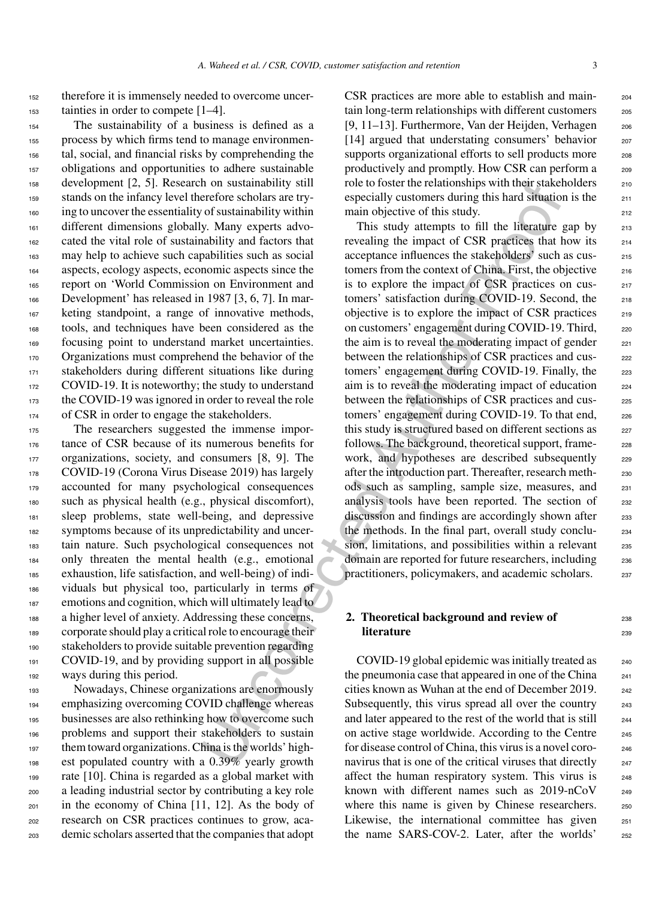<sup>152</sup> therefore it is immensely needed to overcome uncer-<sup>153</sup> tainties in order to compete [1–4].

 The sustainability of a business is defined as a process by which firms tend to manage environmen- tal, social, and financial risks by comprehending the obligations and opportunities to adhere sustainable development [2, 5]. Research on sustainability still stands on the infancy level therefore scholars are try- ing to uncover the essentiality of sustainability within different dimensions globally. Many experts advo- cated the vital role of sustainability and factors that may help to achieve such capabilities such as social aspects, ecology aspects, economic aspects since the report on 'World Commission on Environment and Development' has released in 1987 [3, 6, 7]. In mar- keting standpoint, a range of innovative methods, tools, and techniques have been considered as the focusing point to understand market uncertainties. 170 Organizations must comprehend the behavior of the stakeholders during different situations like during COVID-19. It is noteworthy; the study to understand the COVID-19 was ignored in order to reveal the role of CSR in order to engage the stakeholders.

 The researchers suggested the immense impor- tance of CSR because of its numerous benefits for organizations, society, and consumers [8, 9]. The COVID-19 (Corona Virus Disease 2019) has largely accounted for many psychological consequences such as physical health (e.g., physical discomfort), sleep problems, state well-being, and depressive symptoms because of its unpredictability and uncer- tain nature. Such psychological consequences not only threaten the mental health (e.g., emotional exhaustion, life satisfaction, and well-being) of indi- viduals but physical too, particularly in terms of emotions and cognition, which will ultimately lead to a higher level of anxiety. Addressing these concerns, corporate should play a critical role to encourage their stakeholders to provide suitable prevention regarding COVID-19, and by providing support in all possible ways during this period.

 Nowadays, Chinese organizations are enormously emphasizing overcoming COVID challenge whereas businesses are also rethinking how to overcome such problems and support their stakeholders to sustain them toward organizations. China is the worlds' high- est populated country with a 0.39% yearly growth rate [10]. China is regarded as a global market with a leading industrial sector by contributing a key role in the economy of China [11, 12]. As the body of research on CSR practices continues to grow, aca-demic scholars asserted that the companies that adopt

CSR practices are more able to establish and main- <sup>204</sup> tain long-term relationships with different customers 205 [9, 11–13]. Furthermore, Van der Heijden, Verhagen 206 [14] argued that understating consumers' behavior 207 supports organizational efforts to sell products more 208 productively and promptly. How CSR can perform a 209 role to foster the relationships with their stakeholders 210 especially customers during this hard situation is the 211 main objective of this study.

non sustainability still<br>the colorist the relationships with then states the conserverse becharate reverse seperally customers during his hard situation<br>of sustainability within main objective of this study.<br>
Y. Many expe This study attempts to fill the literature gap by  $213$ revealing the impact of CSR practices that how its <sup>214</sup> acceptance influences the stakeholders' such as cus- <sup>215</sup> tomers from the context of China. First, the objective 216 is to explore the impact of CSR practices on cus- <sup>217</sup> tomers' satisfaction during COVID-19. Second, the 218 objective is to explore the impact of CSR practices  $219$ on customers' engagement during COVID-19. Third, 220 the aim is to reveal the moderating impact of gender  $221$ between the relationships of CSR practices and customers' engagement during COVID-19. Finally, the 223 aim is to reveal the moderating impact of education <sup>224</sup> between the relationships of CSR practices and customers' engagement during COVID-19. To that end, 226 this study is structured based on different sections as 227 follows. The background, theoretical support, framework, and hypotheses are described subsequently 229 after the introduction part. Thereafter, research meth- <sup>230</sup> ods such as sampling, sample size, measures, and <sup>231</sup> analysis tools have been reported. The section of 232 discussion and findings are accordingly shown after 233 the methods. In the final part, overall study conclu-<br>234 sion, limitations, and possibilities within a relevant 235 domain are reported for future researchers, including 236 practitioners, policymakers, and academic scholars. 237

## **2. Theoretical background and review of** 238 **literature** 239

COVID-19 global epidemic was initially treated as  $240$ the pneumonia case that appeared in one of the China <sub>241</sub> cities known as Wuhan at the end of December 2019. <sub>242</sub> Subsequently, this virus spread all over the country 243 and later appeared to the rest of the world that is still <sub>244</sub> on active stage worldwide. According to the Centre 245 for disease control of China, this virus is a novel coro- <sup>246</sup> navirus that is one of the critical viruses that directly  $_{247}$ affect the human respiratory system. This virus is 248 known with different names such as  $2019 \text{-nCoV}$  249 where this name is given by Chinese researchers. 250 Likewise, the international committee has given 251 the name SARS-COV-2. Later, after the worlds' 252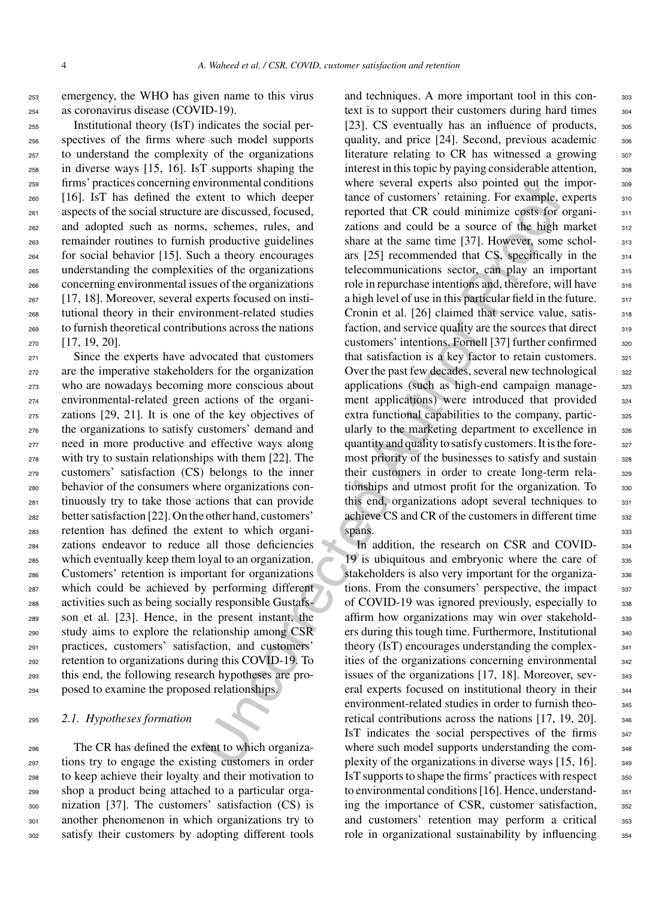<sup>253</sup> emergency, the WHO has given name to this virus <sup>254</sup> as coronavirus disease (COVID-19).

 Institutional theory (IsT) indicates the social per- spectives of the firms where such model supports to understand the complexity of the organizations in diverse ways [15, 16]. IsT supports shaping the firms' practices concerning environmental conditions [16]. IsT has defined the extent to which deeper aspects of the social structure are discussed, focused, and adopted such as norms, schemes, rules, and remainder routines to furnish productive guidelines for social behavior [15]. Such a theory encourages understanding the complexities of the organizations concerning environmental issues of the organizations [17, 18]. Moreover, several experts focused on insti- tutional theory in their environment-related studies to furnish theoretical contributions across the nations [17, 19, 20].

 Since the experts have advocated that customers are the imperative stakeholders for the organization who are nowadays becoming more conscious about environmental-related green actions of the organi- zations [29, 21]. It is one of the key objectives of the organizations to satisfy customers' demand and need in more productive and effective ways along with try to sustain relationships with them [22]. The customers' satisfaction (CS) belongs to the inner behavior of the consumers where organizations con- tinuously try to take those actions that can provide better satisfaction [22]. On the other hand, customers' retention has defined the extent to which organi- zations endeavor to reduce all those deficiencies which eventually keep them loyal to an organization. Customers' retention is important for organizations which could be achieved by performing different activities such as being socially responsible Gustafs- son et al. [23]. Hence, in the present instant, the study aims to explore the relationship among CSR practices, customers' satisfaction, and customers' retention to organizations during this COVID-19. To this end, the following research hypotheses are pro-posed to examine the proposed relationships.

## <sup>295</sup> *2.1. Hypotheses formation*

 The CR has defined the extent to which organiza- tions try to engage the existing customers in order to keep achieve their loyalty and their motivation to shop a product being attached to a particular orga- nization [37]. The customers' satisfaction (CS) is another phenomenon in which organizations try to satisfy their customers by adopting different tools

nytomomizational was where several experts also pointed out the<br>
rate to which deeper<br>
tance of customers' retaining. For example,<br>
are discussed, focused are rediscussed and report and CR could minimize costs for<br>
a rate and techniques. A more important tool in this con-<br>303 text is to support their customers during hard times  $304$ [23]. CS eventually has an influence of products,  $\frac{305}{200}$ quality, and price [24]. Second, previous academic 306 literature relating to CR has witnessed a growing  $307$ interest in this topic by paying considerable attention,  $\frac{308}{200}$ where several experts also pointed out the impor-<br>sos tance of customers' retaining. For example, experts 310 reported that CR could minimize costs for organi- <sup>311</sup> zations and could be a source of the high market 312 share at the same time [37]. However, some schol- 313 ars  $[25]$  recommended that CS, specifically in the  $314$ telecommunications sector, can play an important 315 role in repurchase intentions and, therefore, will have  $316$ a high level of use in this particular field in the future.  $317$ Cronin et al. [26] claimed that service value, satis-<br>318 faction, and service quality are the sources that direct 319 customers' intentions. Fornell [37] further confirmed 320 that satisfaction is a key factor to retain customers.  $321$ Over the past few decades, several new technological <sub>322</sub> applications (such as high-end campaign manage-<br>323 ment applications) were introduced that provided <sub>324</sub> extra functional capabilities to the company, partic-<br>325 ularly to the marketing department to excellence in  $326$ quantity and quality to satisfy customers. It is the fore- 327 most priority of the businesses to satisfy and sustain 328 their customers in order to create long-term rela- <sup>329</sup> tionships and utmost profit for the organization. To 330 this end, organizations adopt several techniques to 331 achieve CS and CR of the customers in different time  $332$ spans. 333

In addition, the research on CSR and COVID- 334  $19$  is ubiquitous and embryonic where the care of  $335$ stakeholders is also very important for the organiza-<br>336 tions. From the consumers' perspective, the impact 337 of COVID-19 was ignored previously, especially to 338 affirm how organizations may win over stakehold-<br>339 ers during this tough time. Furthermore, Institutional 340 theory (IsT) encourages understanding the complex- <sup>341</sup> ities of the organizations concerning environmental 342 issues of the organizations [17, 18]. Moreover, sev-<br>343 eral experts focused on institutional theory in their 344 environment-related studies in order to furnish theo-<br><sub>345</sub> retical contributions across the nations  $[17, 19, 20]$ .  $\frac{346}{2}$ IsT indicates the social perspectives of the firms 347 where such model supports understanding the complexity of the organizations in diverse ways  $[15, 16]$ .  $\quad$  349 IsT supports to shape the firms' practices with respect  $350$ to environmental conditions [16]. Hence, understanding the importance of CSR, customer satisfaction, 352 and customers' retention may perform a critical 353 role in organizational sustainability by influencing  $354$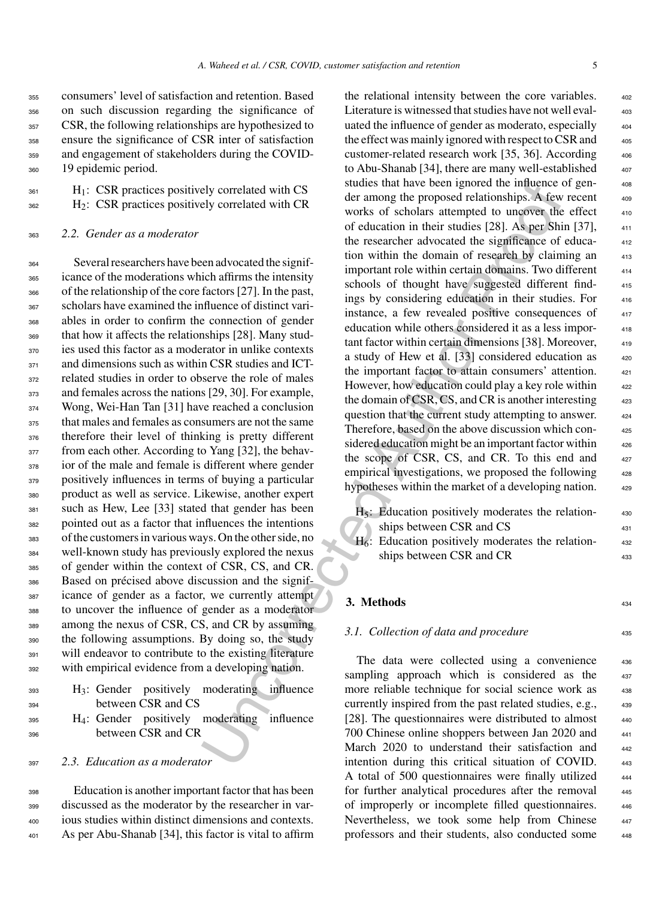consumers' level of satisfaction and retention. Based on such discussion regarding the significance of CSR, the following relationships are hypothesized to ensure the significance of CSR inter of satisfaction and engagement of stakeholders during the COVID-19 epidemic period.

| 361 | $H_1$ : CSR practices positively correlated with CS |
|-----|-----------------------------------------------------|
| 362 | $H_2$ : CSR practices positively correlated with CR |

## *2.2. Gender as a moderator*

 Several researchers have been advocated the signif- icance of the moderations which affirms the intensity of the relationship of the core factors [27]. In the past, scholars have examined the influence of distinct vari- ables in order to confirm the connection of gender that how it affects the relationships [28]. Many stud- ies used this factor as a moderator in unlike contexts and dimensions such as within CSR studies and ICT- related studies in order to observe the role of males and females across the nations [29, 30]. For example, Wong, Wei-Han Tan [31] have reached a conclusion 375 that males and females as consumers are not the same therefore their level of thinking is pretty different <sup>377</sup> from each other. According to Yang [32], the behav- ior of the male and female is different where gender positively influences in terms of buying a particular product as well as service. Likewise, another expert such as Hew, Lee [33] stated that gender has been pointed out as a factor that influences the intentions of the customers in various ways. On the other side, no well-known study has previously explored the nexus of gender within the context of CSR, CS, and CR. 386 Based on précised above discussion and the signif- icance of gender as a factor, we currently attempt to uncover the influence of gender as a moderator among the nexus of CSR, CS, and CR by assuming the following assumptions. By doing so, the study will endeavor to contribute to the existing literature with empirical evidence from a developing nation.

- H3: Gender positively moderating influence between CSR and CS
- H4: Gender positively moderating influence between CSR and CR

#### *2.3. Education as a moderator*

 Education is another important factor that has been discussed as the moderator by the researcher in var- ious studies within distinct dimensions and contexts. As per Abu-Shanab [34], this factor is vital to affirm

ely correlated with CS<br>subtes that have been gonored the influence<br>subtes that have been good derivations, A few the strained to the more the proposed relationships. A few the strained to the<br>correlated by correlated the the relational intensity between the core variables. Literature is witnessed that studies have not well evaluated the influence of gender as moderato, especially the effect was mainly ignored with respect to CSR and customer-related research work [35, 36]. According <sup>406</sup> to Abu-Shanab [34], there are many well-established studies that have been ignored the influence of gender among the proposed relationships. A few recent works of scholars attempted to uncover the effect 410 of education in their studies [28]. As per Shin [37], <sup>411</sup> the researcher advocated the significance of education within the domain of research by claiming an important role within certain domains. Two different schools of thought have suggested different findings by considering education in their studies. For instance, a few revealed positive consequences of education while others considered it as a less important factor within certain dimensions [38]. Moreover, a study of Hew et al. [33] considered education as the important factor to attain consumers' attention. 421 However, how education could play a key role within the domain of CSR, CS, and CR is another interesting question that the current study attempting to answer. Therefore, based on the above discussion which considered education might be an important factor within the scope of CSR, CS, and CR. To this end and empirical investigations, we proposed the following hypotheses within the market of a developing nation. 429

| $H_5$ : Education positively moderates the relation- | 430 |
|------------------------------------------------------|-----|
| ships between CSR and CS                             | 431 |
| $H_6$ : Education positively moderates the relation- | 432 |
| ships between CSR and CR                             | 433 |

#### **3. Methods** 434

## *3.1. Collection of data and procedure*

The data were collected using a convenience 436 sampling approach which is considered as the 437 more reliable technique for social science work as 438 currently inspired from the past related studies, e.g., [28]. The questionnaires were distributed to almost 440 700 Chinese online shoppers between Jan 2020 and March 2020 to understand their satisfaction and 442 intention during this critical situation of COVID. 443 A total of 500 questionnaires were finally utilized 444 for further analytical procedures after the removal 445 of improperly or incomplete filled questionnaires. <sup>446</sup> Nevertheless, we took some help from Chinese 447 professors and their students, also conducted some <sup>448</sup>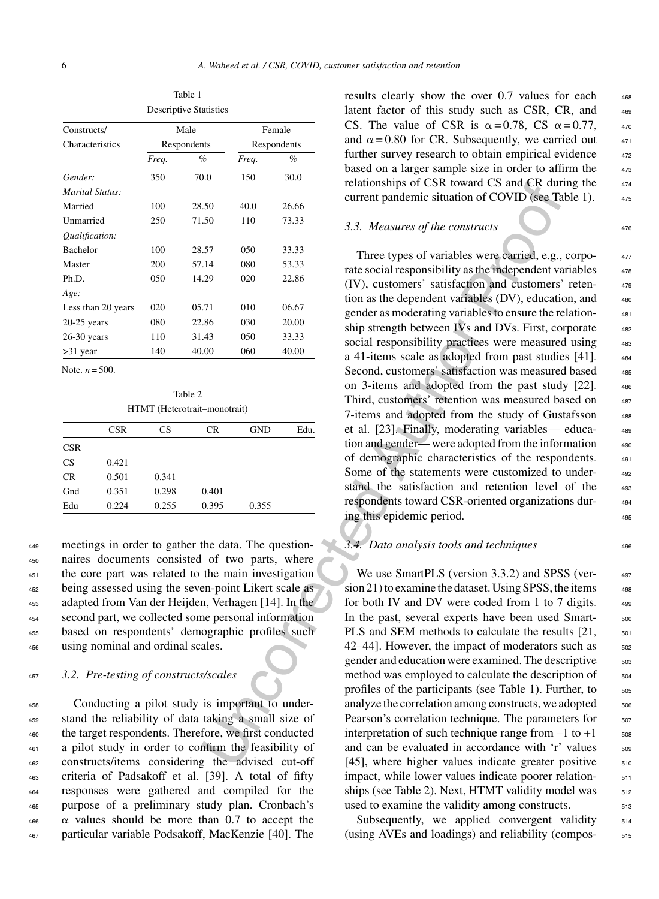| Constructs/        |             | Male  |             | Female |
|--------------------|-------------|-------|-------------|--------|
| Characteristics    | Respondents |       | Respondents |        |
|                    | Freq.       | %     | Freq.       | %      |
| Gender:            | 350         | 70.0  | 150         | 30.0   |
| Marital Status:    |             |       |             |        |
| Married            | 100         | 28.50 | 40.0        | 26.66  |
| <b>Unmarried</b>   | 250         | 71.50 | 110         | 73.33  |
| Qualification:     |             |       |             |        |
| <b>Bachelor</b>    | 100         | 28.57 | 050         | 33.33  |
| Master             | 200         | 57.14 | 080         | 53.33  |
| Ph.D.              | 050         | 14.29 | 020         | 22.86  |
| Age:               |             |       |             |        |
| Less than 20 years | 020         | 05.71 | 010         | 06.67  |
| $20-25$ years      | 080         | 22.86 | 030         | 20.00  |
| $26-30$ years      | 110         | 31.43 | 050         | 33.33  |
| $>31$ year         | 140         | 40.00 | 060         | 40.00  |

Table 1 Descriptive Statistics

Note.  $n = 500$ .

Table 2 HTMT (Heterotrait–monotrait)

|            | <b>CSR</b> | <b>CS</b> | <b>CR</b> | <b>GND</b> | Edu. |
|------------|------------|-----------|-----------|------------|------|
| <b>CSR</b> |            |           |           |            |      |
| <b>CS</b>  | 0.421      |           |           |            |      |
| <b>CR</b>  | 0.501      | 0.341     |           |            |      |
| Gnd        | 0.351      | 0.298     | 0.401     |            |      |
| Edu        | 0.224      | 0.255     | 0.395     | 0.355      |      |

 meetings in order to gather the data. The question- naires documents consisted of two parts, where the core part was related to the main investigation being assessed using the seven-point Likert scale as adapted from Van der Heijden, Verhagen [14]. In the second part, we collected some personal information based on respondents' demographic profiles such using nominal and ordinal scales.

## <sup>457</sup> *3.2. Pre-testing of constructs/scales*

 Conducting a pilot study is important to under- stand the reliability of data taking a small size of the target respondents. Therefore, we first conducted a pilot study in order to confirm the feasibility of constructs/items considering the advised cut-off criteria of Padsakoff et al. [39]. A total of fifty responses were gathered and compiled for the purpose of a preliminary study plan. Cronbach's  $\alpha$  values should be more than 0.7 to accept the particular variable Podsakoff, MacKenzie [40]. The

results clearly show the over 0.7 values for each 468 latent factor of this study such as CSR, CR, and 469 CS. The value of CSR is  $\alpha = 0.78$ , CS  $\alpha = 0.77$ , 470 and  $\alpha$  = 0.80 for CR. Subsequently, we carried out further survey research to obtain empirical evidence based on a larger sample size in order to affirm the relationships of CSR toward CS and CR during the current pandemic situation of COVID (see Table 1).

#### **3.3. Measures of the constructs** 476

relationships of CSK foward CS and CAS (uncomparent parameteric studinton of COVID (see Ta<br>
.30 400 2666 current pandemic situation of COVID (see Ta<br>
.31  $-$  080 33.33 Three types of variables were carried, e.g.<br>
.32  $-$  Three types of variables were carried, e.g., corporate social responsibility as the independent variables  $478$ (IV), customers' satisfaction and customers' reten- <sup>479</sup> tion as the dependent variables  $(DV)$ , education, and  $480$ gender as moderating variables to ensure the relation- <sup>481</sup> ship strength between IVs and DVs. First, corporate 482 social responsibility practices were measured using 483 a 41-items scale as adopted from past studies [41]. <sup>484</sup> Second, customers' satisfaction was measured based 485 on 3-items and adopted from the past study [22]. <sup>486</sup> Third, customers' retention was measured based on  $487$ 7-items and adopted from the study of Gustafsson <sup>488</sup> et al. [23]. Finally, moderating variables— educa-<br>489 tion and gender— were adopted from the information 490 of demographic characteristics of the respondents. <sup>491</sup> Some of the statements were customized to under-<br>492 stand the satisfaction and retention level of the 493 respondents toward CSR-oriented organizations dur- <sup>494</sup> ing this epidemic period.

## *3.4. Data analysis tools and techniques* <sup>496</sup>

We use SmartPLS (version 3.3.2) and SPSS (ver- $\sin 21$ ) to examine the dataset. Using SPSS, the items  $498$ for both IV and DV were coded from 1 to 7 digits. 499 In the past, several experts have been used Smart-PLS and SEM methods to calculate the results [21, 501 42–44]. However, the impact of moderators such as  $502$ gender and education were examined. The descriptive  $\qquad$ method was employed to calculate the description of  $\qquad$  504 profiles of the participants (see Table 1). Further, to  $\qquad$  505 analyze the correlation among constructs, we adopted  $\qquad$ Pearson's correlation technique. The parameters for  $\frac{507}{207}$ interpretation of such technique range from  $-1$  to  $+1$  508 and can be evaluated in accordance with 'r' values 509 [45], where higher values indicate greater positive 510 impact, while lower values indicate poorer relationships (see Table 2). Next, HTMT validity model was  $_{512}$ used to examine the validity among constructs.

Subsequently, we applied convergent validity 514 (using AVEs and loadings) and reliability (compos- <sup>515</sup>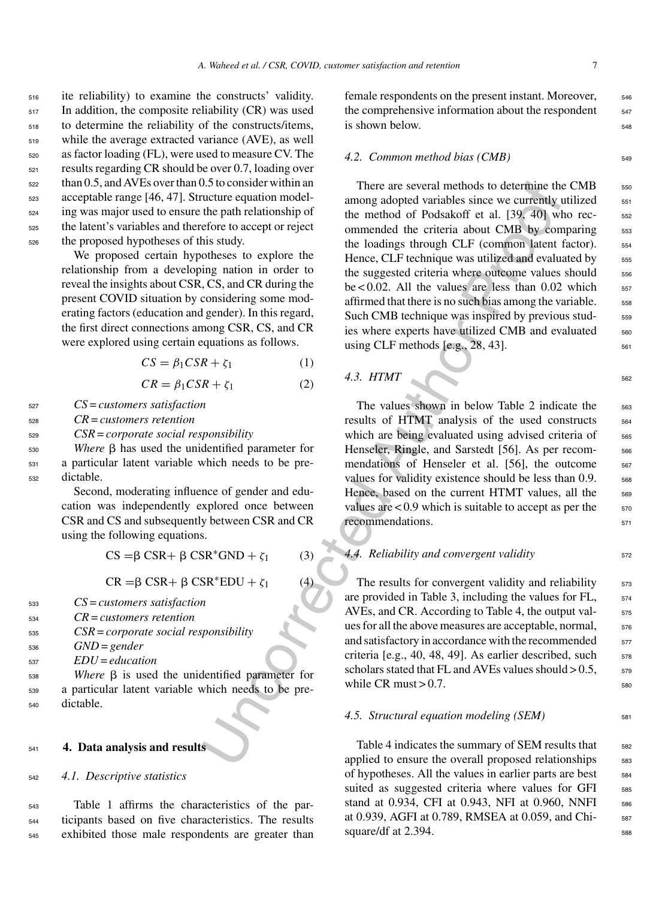the comprehensive information about the respondent <sub>547</sub>  $\frac{1}{548}$  is shown below.

### *4.2. Common method bias (CMB)* 549

15.1 consider within an There are several methods to determine the path relationship of<br>
Uncorrected automomology of the method of Podsakoff et al. [39, 40] where<br>
the path relationship of the method of Podsakoff et al. There are several methods to determine the CMB 550 among adopted variables since we currently utilized  $551$ the method of Podsakoff et al. [39, 40] who rec-  $552$ ommended the criteria about CMB by comparing 553 the loadings through CLF (common latent factor).  $554$ Hence, CLF technique was utilized and evaluated by 555 the suggested criteria where outcome values should  $556$ be  $< 0.02$ . All the values are less than 0.02 which  $_{557}$ affirmed that there is no such bias among the variable.  $\frac{558}{2}$ Such CMB technique was inspired by previous studies where experts have utilized CMB and evaluated  $560$ using CLF methods  $[e.g., 28, 43]$ .

female respondents on the present instant. Moreover,  $\frac{546}{2}$ 

$$
4.3. \quad HTMT \qquad \qquad \text{562}
$$

The values shown in below Table 2 indicate the 563 results of HTMT analysis of the used constructs  $564$ which are being evaluated using advised criteria of 565 Henseler, Ringle, and Sarstedt [56]. As per recommendations of Henseler et al.  $[56]$ , the outcome  $567$ values for validity existence should be less than  $0.9$ .  $\frac{568}{200}$ Hence, based on the current HTMT values, all the 569 values are  $< 0.9$  which is suitable to accept as per the  $570$ recommendations.

## *4.4. Reliability and convergent validity*  $572$

The results for convergent validity and reliability 573 are provided in Table 3, including the values for FL,  $\frac{574}{2}$ AVEs, and CR. According to Table 4, the output values for all the above measures are acceptable, normal,  $576$ and satisfactory in accordance with the recommended  $\frac{577}{2}$ criteria [e.g., 40, 48, 49]. As earlier described, such  $578$ scholars stated that FL and AVEs values should  $> 0.5$ ,  $\frac{579}{20}$ while CR must  $> 0.7$ .

## *4.5. Structural equation modeling (SEM)* 581

Table 4 indicates the summary of SEM results that ssz applied to ensure the overall proposed relationships 583 of hypotheses. All the values in earlier parts are best  $584$ suited as suggested criteria where values for GFI 585 stand at 0.934, CFI at 0.943, NFI at 0.960, NNFI 586 at 0.939, AGFI at 0.789, RMSEA at 0.059, and Chi- <sup>587</sup> square/df at  $2.394$ .

 ite reliability) to examine the constructs' validity. In addition, the composite reliability (CR) was used to determine the reliability of the constructs/items, while the average extracted variance (AVE), as well as factor loading (FL), were used to measure CV. The results regarding CR should be over 0.7, loading over than 0.5, and AVEs over than 0.5 to consider within an acceptable range [46, 47]. Structure equation model- ing was major used to ensure the path relationship of the latent's variables and therefore to accept or reject the proposed hypotheses of this study.

> We proposed certain hypotheses to explore the relationship from a developing nation in order to reveal the insights about CSR, CS, and CR during the present COVID situation by considering some moderating factors (education and gender). In this regard, the first direct connections among CSR, CS, and CR were explored using certain equations as follows.

$$
CS = \beta_1 CSR + \zeta_1 \tag{1}
$$

$$
CR = \beta_1CSR + \zeta_1 \tag{2}
$$

<sup>527</sup> *CS* = *customers satisfaction*

<sup>528</sup> *CR* = *customers retention*

<sup>529</sup> *CSR* = *corporate social responsibility*

<sup>530</sup> *Where* has used the unidentified parameter for <sup>531</sup> a particular latent variable which needs to be pre-<sup>532</sup> dictable.

> Second, moderating influence of gender and education was independently explored once between CSR and CS and subsequently between CSR and CR using the following equations.

$$
CS = \beta \, \text{CSR} + \beta \, \text{CSR}^* \text{GND} + \zeta_1 \tag{3}
$$

$$
CR = \beta \, \text{CSR} + \beta \, \text{CSR}^* \text{EDU} + \zeta_1 \tag{4}
$$

<sup>533</sup> *CS* = *customers satisfaction*

- <sup>534</sup> *CR* = *customers retention*
- <sup>535</sup> *CSR* = *corporate social responsibility*
- <sup>536</sup> *GND* = *gender*
- <sup>537</sup> *EDU* = *education*

 $538$  *Where* β is used the unidentified parameter for <sup>539</sup> a particular latent variable which needs to be pre-<sup>540</sup> dictable.

#### <sup>541</sup> **4. Data analysis and results**

## <sup>542</sup> *4.1. Descriptive statistics*

<sup>543</sup> Table 1 affirms the characteristics of the par-<sup>544</sup> ticipants based on five characteristics. The results <sup>545</sup> exhibited those male respondents are greater than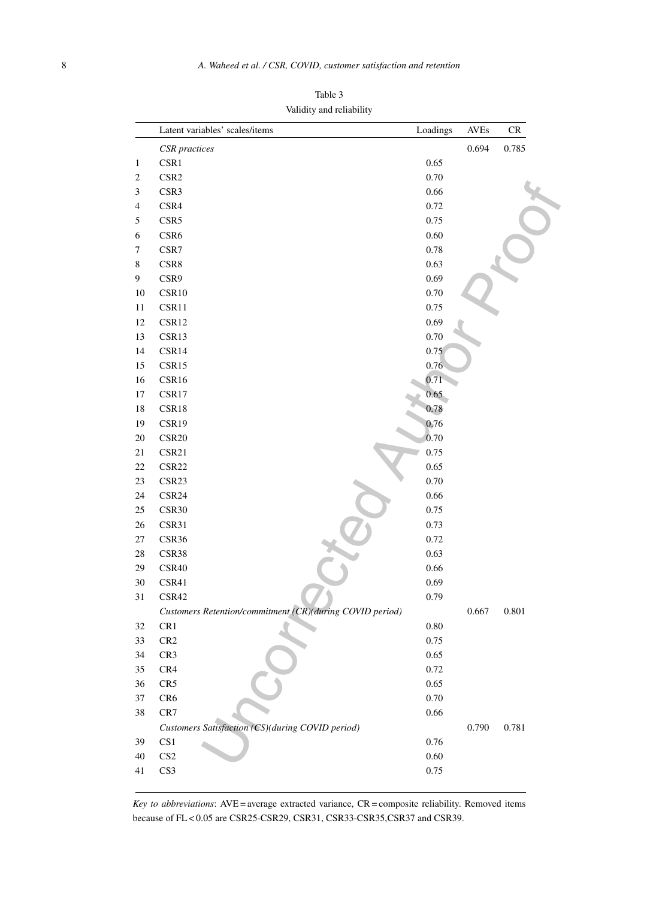|                | Latent variables' scales/items                           | Loadings | <b>AVEs</b> | CR    |
|----------------|----------------------------------------------------------|----------|-------------|-------|
|                | CSR practices                                            |          | 0.694       | 0.785 |
| $\mathbf{1}$   | $\text{CSR1}$                                            | 0.65     |             |       |
| $\sqrt{2}$     | CSR <sub>2</sub>                                         | 0.70     |             |       |
| $\mathfrak{Z}$ | CSR3                                                     | 0.66     |             |       |
| 4              | CSR4                                                     | 0.72     |             |       |
| 5              | CSR5                                                     | 0.75     |             |       |
| 6              | CSR6                                                     | 0.60     |             |       |
| 7              | CSR7                                                     | 0.78     |             |       |
| $\,$ 8 $\,$    | CSR8                                                     | 0.63     |             |       |
| 9              | CSR9                                                     | 0.69     |             |       |
| 10             | CSR10                                                    | 0.70     |             |       |
| 11             | CSR11                                                    | 0.75     |             |       |
| 12             | CSR12                                                    | 0.69     |             |       |
| 13             | CSR13                                                    | 0.70     |             |       |
| 14             | CSR14                                                    | 0.75     |             |       |
| 15             | CSR15                                                    | 0.76     |             |       |
| 16             | CSR16                                                    | 0.71     |             |       |
| 17             | CSR17                                                    | 0.65     |             |       |
| 18             | CSR18                                                    | 0.78     |             |       |
| 19             | CSR19                                                    | 0.76     |             |       |
| 20             | CSR <sub>20</sub>                                        | 0.70     |             |       |
| 21             | CSR21                                                    | 0.75     |             |       |
| 22             | CSR <sub>22</sub>                                        | 0.65     |             |       |
| 23             | CSR <sub>23</sub>                                        | 0.70     |             |       |
| 24             | CSR <sub>24</sub>                                        | 0.66     |             |       |
| 25             | CSR <sub>30</sub>                                        | 0.75     |             |       |
| 26             | CSR31                                                    | 0.73     |             |       |
| 27             | CSR36                                                    | 0.72     |             |       |
| $28\,$         | CSR38                                                    | 0.63     |             |       |
| 29             | CSR40                                                    | 0.66     |             |       |
| 30             | CSR41                                                    | 0.69     |             |       |
| 31             | CSR42                                                    | 0.79     |             |       |
|                | Customers Retention/commitment (CR)(during COVID period) |          | 0.667       | 0.801 |
| 32             | CR1                                                      | $0.80\,$ |             |       |
| 33             | CR2                                                      | 0.75     |             |       |
| 34             | CR <sub>3</sub>                                          | 0.65     |             |       |
| $35\,$         | CR4                                                      | 0.72     |             |       |
| 36             | CR5                                                      | 0.65     |             |       |
| $37\,$         | CR <sub>6</sub>                                          | 0.70     |             |       |
| 38             | CR7                                                      | 0.66     |             |       |
|                | Customers Satisfaction (CS)(during COVID period)         |          | 0.790       | 0.781 |
| 39             | $\mathbb{C}\mathbb{S}1$                                  | 0.76     |             |       |
| 40             | $\mathbf{C}\mathbf{S}2$                                  | $0.60\,$ |             |       |
| 41             | CS <sub>3</sub>                                          | 0.75     |             |       |

Table 3 Validity and reliability

*Key to abbreviations*: AVE = average extracted variance, CR = composite reliability. Removed items because of FL < 0.05 are CSR25-CSR29, CSR31, CSR33-CSR35,CSR37 and CSR39.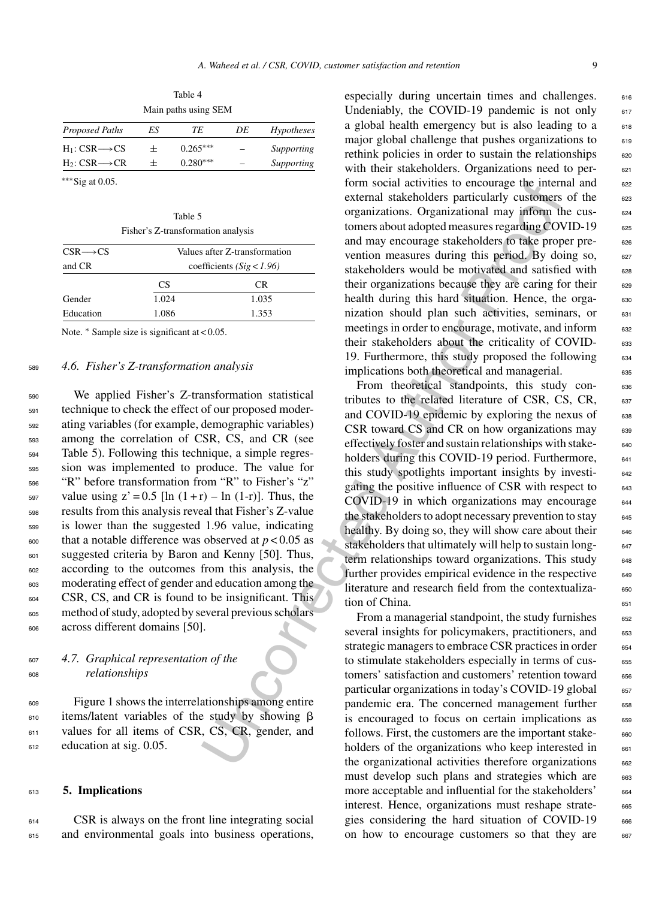Table 4 Main paths using SEM

| Proposed Paths              | ES | TF.        | DE | Hypotheses |
|-----------------------------|----|------------|----|------------|
| $H_1: CSR \rightarrow CS$   |    | $0.265***$ |    | Supporting |
| $H_2:CSR\longrightarrow CR$ |    | $0.280***$ |    | Supporting |

∗∗∗Sig at 0.05.

Table 5 Fisher's Z-transformation analysis

| Values after Z-transformation |       |  |
|-------------------------------|-------|--|
| coefficients ( $Sig$ < 1.96)  |       |  |
| CS                            | CR.   |  |
| 1.024                         | 1.035 |  |
| 1.086                         | 1.353 |  |
|                               |       |  |

Note. ∗ Sample size is significant at < 0.05.

## <sup>589</sup> *4.6. Fisher's Z-transformation analysis*

 We applied Fisher's Z-transformation statistical technique to check the effect of our proposed moder- ating variables (for example, demographic variables) among the correlation of CSR, CS, and CR (see Table 5). Following this technique, a simple regres- sion was implemented to produce. The value for "R" before transformation from "R" to Fisher's "z" 597 value using  $z' = 0.5$  [ln  $(1 + r) - \ln (1 - r)$ ]. Thus, the results from this analysis reveal that Fisher's Z-value is lower than the suggested 1.96 value, indicating  $\frac{600}{200}$  that a notable difference was observed at  $p < 0.05$  as suggested criteria by Baron and Kenny [50]. Thus, according to the outcomes from this analysis, the moderating effect of gender and education among the CSR, CS, and CR is found to be insignificant. This method of study, adopted by several previous scholars across different domains [50].

# <sup>607</sup> *4.7. Graphical representation of the* <sup>608</sup> *relationships*

 Figure 1 shows the interrelationships among entire items/latent variables of the study by showing  $\beta$  values for all items of CSR, CS, CR, gender, and education at sig. 0.05.

#### <sup>613</sup> **5. Implications**

<sup>614</sup> CSR is always on the front line integrating social <sup>615</sup> and environmental goals into business operations, especially during uncertain times and challenges. 616 Undeniably, the COVID-19 pandemic is not only  $617$ a global health emergency but is also leading to a  $618$ major global challenge that pushes organizations to  $619$ rethink policies in order to sustain the relationships  $\frac{620}{20}$ with their stakeholders. Organizations need to per-<br><sub>621</sub> form social activities to encourage the internal and  $622$ external stakeholders particularly customers of the 623 organizations. Organizational may inform the cus- <sup>624</sup> tomers about adopted measures regarding COVID-19 625 and may encourage stakeholders to take proper prevention measures during this period. By doing so, 627 stakeholders would be motivated and satisfied with 628 their organizations because they are caring for their  $\qquad$  629 health during this hard situation. Hence, the orga- 630 nization should plan such activities, seminars, or 631 meetings in order to encourage, motivate, and inform 632 their stakeholders about the criticality of COVID- 633 19. Furthermore, this study proposed the following  $634$ implications both theoretical and managerial.

Finial contracts to encourage the intereformal active<br>term and activities to encourage the intereformal and the proparations. Organizations are some absoluted measure stached<br>ders organizations and may encourage stakehold From theoretical standpoints, this study con- 636 tributes to the related literature of CSR, CS, CR,  $\frac{637}{637}$ and COVID-19 epidemic by exploring the nexus of  $638$ CSR toward CS and CR on how organizations may 639 effectively foster and sustain relationships with stake- 640 holders during this COVID-19 period. Furthermore, 641 this study spotlights important insights by investi- <sup>642</sup> gating the positive influence of CSR with respect to 643  $COVID-19$  in which organizations may encourage  $644$ the stakeholders to adopt necessary prevention to stay  $_{645}$ healthy. By doing so, they will show care about their 646 stakeholders that ultimately will help to sustain long-  $647$ term relationships toward organizations. This study 648 further provides empirical evidence in the respective 649 literature and research field from the contextualiza- 650 tion of China.

From a managerial standpoint, the study furnishes  $652$ several insights for policymakers, practitioners, and 653 strategic managers to embrace CSR practices in order 654 to stimulate stakeholders especially in terms of customers' satisfaction and customers' retention toward 656 particular organizations in today's COVID-19 global 657 pandemic era. The concerned management further 658 is encouraged to focus on certain implications as 659 follows. First, the customers are the important stake- 660 holders of the organizations who keep interested in  $661$ the organizational activities therefore organizations 662 must develop such plans and strategies which are 663 more acceptable and influential for the stakeholders' 664 interest. Hence, organizations must reshape strate- 665 gies considering the hard situation of COVID-19 666 on how to encourage customers so that they are 667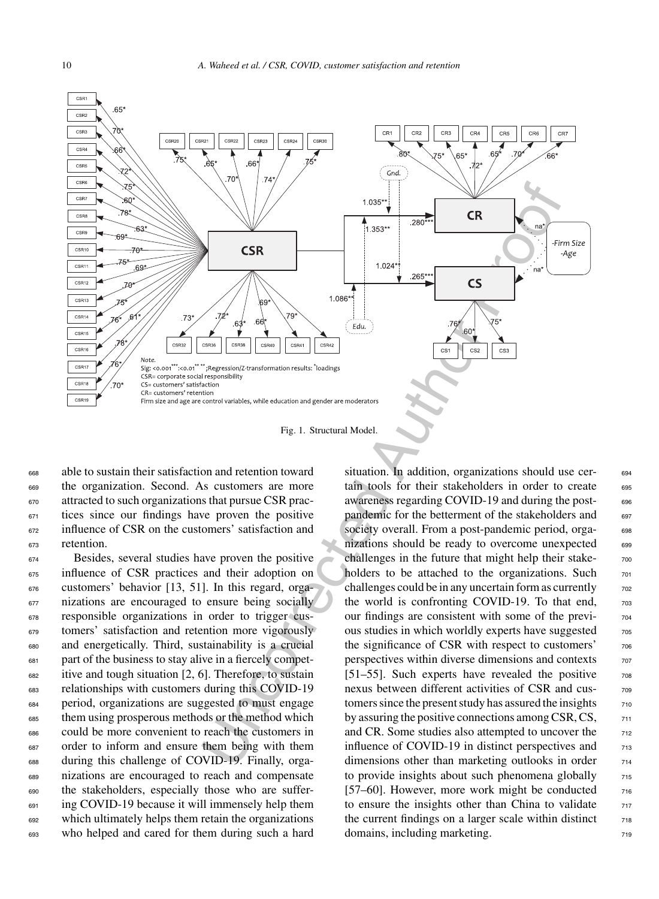

Fig. 1. Structural Model.

 able to sustain their satisfaction and retention toward the organization. Second. As customers are more attracted to such organizations that pursue CSR prac- tices since our findings have proven the positive influence of CSR on the customers' satisfaction and retention.

 Besides, several studies have proven the positive influence of CSR practices and their adoption on customers' behavior [13, 51]. In this regard, orga- nizations are encouraged to ensure being socially responsible organizations in order to trigger cus- tomers' satisfaction and retention more vigorously and energetically. Third, sustainability is a crucial part of the business to stay alive in a fiercely compet- itive and tough situation [2, 6]. Therefore, to sustain relationships with customers during this COVID-19 period, organizations are suggested to must engage them using prosperous methods or the method which could be more convenient to reach the customers in order to inform and ensure them being with them during this challenge of COVID-19. Finally, orga- nizations are encouraged to reach and compensate the stakeholders, especially those who are suffer-<sup>691</sup> ing COVID-19 because it will immensely help them which ultimately helps them retain the organizations who helped and cared for them during such a hard

situation. In addition, organizations should use cer- 694 tain tools for their stakeholders in order to create 695 awareness regarding COVID-19 and during the postpandemic for the betterment of the stakeholders and 697 society overall. From a post-pandemic period, orga- 698 nizations should be ready to overcome unexpected 699 challenges in the future that might help their stake-<br>  $700$ holders to be attached to the organizations. Such  $701$ challenges could be in any uncertain form as currently  $\frac{702}{702}$ the world is confronting COVID-19. To that end,  $703$ our findings are consistent with some of the previ- <sup>704</sup> ous studies in which worldly experts have suggested  $\frac{705}{705}$ the significance of CSR with respect to customers'  $706$ perspectives within diverse dimensions and contexts  $\frac{707}{707}$ [51–55]. Such experts have revealed the positive  $708$ nexus between different activities of CSR and customers since the present study has assured the insights  $\frac{710}{200}$ by assuring the positive connections among CSR,  $CS$ ,  $\qquad \qquad$   $\frac{711}{2}$ and CR. Some studies also attempted to uncover the 712 influence of COVID-19 in distinct perspectives and  $713$ dimensions other than marketing outlooks in order  $\frac{714}{214}$ to provide insights about such phenomena globally  $\frac{7}{15}$ [57–60]. However, more work might be conducted  $716$ to ensure the insights other than China to validate  $\frac{717}{212}$ the current findings on a larger scale within distinct  $718$ domains, including marketing.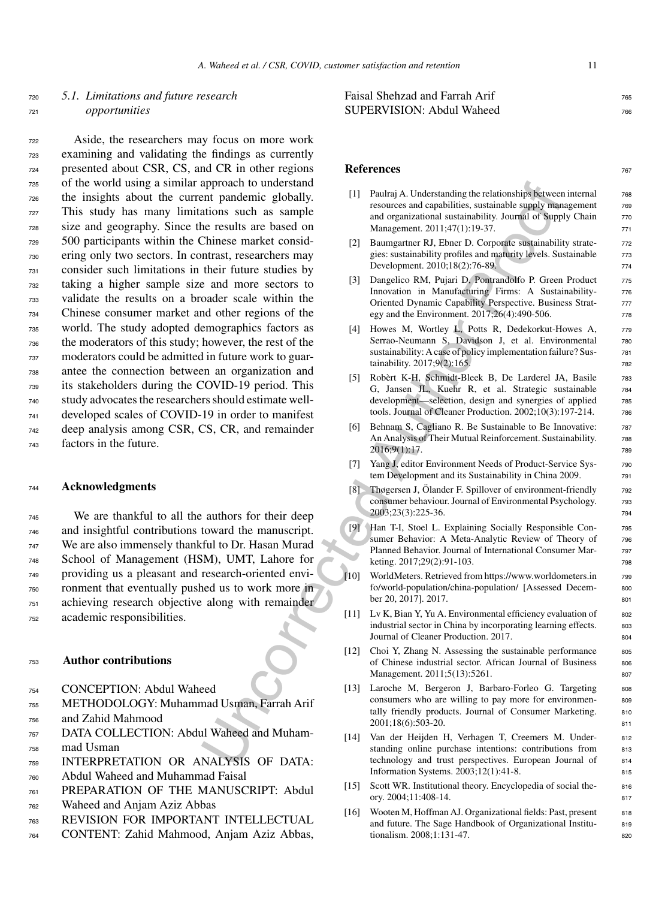# <sup>720</sup> *5.1. Limitations and future research* <sup>721</sup> *opportunities*

approach to understand the material of particular states and experiment and experiment and the sample in the sample and the sample of the sample of the sample of the sample of the sample of the material of the material of Aside, the researchers may focus on more work examining and validating the findings as currently presented about CSR, CS, and CR in other regions of the world using a similar approach to understand the insights about the current pandemic globally. This study has many limitations such as sample size and geography. Since the results are based on 500 participants within the Chinese market consid- ering only two sectors. In contrast, researchers may consider such limitations in their future studies by taking a higher sample size and more sectors to validate the results on a broader scale within the Chinese consumer market and other regions of the world. The study adopted demographics factors as the moderators of this study; however, the rest of the moderators could be admitted in future work to guar- antee the connection between an organization and its stakeholders during the COVID-19 period. This study advocates the researchers should estimate well- developed scales of COVID-19 in order to manifest deep analysis among CSR, CS, CR, and remainder factors in the future.

## <sup>744</sup> **Acknowledgments**

 We are thankful to all the authors for their deep and insightful contributions toward the manuscript. We are also immensely thankful to Dr. Hasan Murad School of Management (HSM), UMT, Lahore for providing us a pleasant and research-oriented envi- ronment that eventually pushed us to work more in achieving research objective along with remainder academic responsibilities.

## <sup>753</sup> **Author contributions**

- <sup>754</sup> CONCEPTION: Abdul Waheed
- <sup>755</sup> METHODOLOGY: Muhammad Usman, Farrah Arif <sup>756</sup> and Zahid Mahmood
- <sup>757</sup> DATA COLLECTION: Abdul Waheed and Muham-<sup>758</sup> mad Usman
- <sup>759</sup> INTERPRETATION OR ANALYSIS OF DATA:
- <sup>760</sup> Abdul Waheed and Muhammad Faisal
- <sup>761</sup> PREPARATION OF THE MANUSCRIPT: Abdul <sup>762</sup> Waheed and Anjam Aziz Abbas
- <sup>763</sup> REVISION FOR IMPORTANT INTELLECTUAL
- <sup>764</sup> CONTENT: Zahid Mahmood, Anjam Aziz Abbas,

```
Faisal Shehzad and Farrah Arif 765
SUPERVISION: Abdul Waheed 766
```
#### **References** 767

- [1] Paulraj A. Understanding the relationships between internal  $\frac{768}{256}$ resources and capabilities, sustainable supply management 769 and organizational sustainability. Journal of Supply Chain 770 Management. 2011;47(1):19-37. 771
- [2] Baumgartner RJ, Ebner D. Corporate sustainability strate- 772 gies: sustainability profiles and maturity levels. Sustainable  $\qquad \qquad$  773 Development. 2010;18(2):76-89. <sup>774</sup>
- [3] Dangelico RM, Pujari D, Pontrandolfo P. Green Product 775 Innovation in Manufacturing Firms: A Sustainability- 776 Oriented Dynamic Capability Perspective. Business Strat- <sup>777</sup> egy and the Environment. 2017;26(4):490-506. 778
- Howes M, Wortley L, Potts R, Dedekorkut-Howes A, 779 Serrao-Neumann S, Davidson J, et al. Environmental 780 sustainability: A case of policy implementation failure? Sus<sub>781</sub> tainability. 2017;9(2):165. 782
- [5] Robèrt K-H, Schmidt-Bleek B, De Larderel JA, Basile 783 G, Jansen JL, Kuehr R, et al. Strategic sustainable <sup>784</sup> development—selection, design and synergies of applied 785 tools. Journal of Cleaner Production. 2002;10(3):197-214. <sup>786</sup>
- [6] Behnam S, Cagliano R. Be Sustainable to Be Innovative: 787 An Analysis of Their Mutual Reinforcement. Sustainability. 788 2016;9(1):17. 789
- [7] Yang J, editor Environment Needs of Product-Service Sys- 790 tem Development and its Sustainability in China 2009. 791
- [8] Thøgersen J, Olander F. Spillover of environment-friendly  $\frac{792}{2}$ consumer behaviour. Journal of Environmental Psychology. 793 2003;23(3):225-36. <sup>794</sup>
- [9] Han T-I, Stoel L. Explaining Socially Responsible Con- <sup>795</sup> sumer Behavior: A Meta-Analytic Review of Theory of 796 Planned Behavior. Journal of International Consumer Mar- <sup>797</sup> keting. 2017;29(2):91-103. 798
- [10] WorldMeters. Retrieved from [https://www.worldometers.in](https://www.worldometers.info/world-population/china-population/) <sup>799</sup> fo/world-population/china-population/ [Assessed Decem- 800 ber 20, 2017]. 2017. 801
- [11] Lv K, Bian Y, Yu A. Environmental efficiency evaluation of 802 industrial sector in China by incorporating learning effects. 803 Journal of Cleaner Production. 2017. 804
- [12] Choi Y, Zhang N. Assessing the sustainable performance 805 of Chinese industrial sector. African Journal of Business 806 Management. 2011;5(13):5261. 807
- [13] Laroche M, Bergeron J, Barbaro-Forleo G. Targeting 808 consumers who are willing to pay more for environmentally friendly products. Journal of Consumer Marketing. 810 2001;18(6):503-20. 811
- [14] Van der Heijden H, Verhagen T, Creemers M. Under- 812 standing online purchase intentions: contributions from 813 technology and trust perspectives. European Journal of 814 Information Systems. 2003;12(1):41-8. 815
- [15] Scott WR. Institutional theory. Encyclopedia of social the-<br> $816$ ory. 2004;11:408-14. <sup>817</sup>
- [16] Wooten M, Hoffman AJ. Organizational fields: Past, present 818 and future. The Sage Handbook of Organizational Institu-<br>819 tionalism. 2008;1:131-47. 820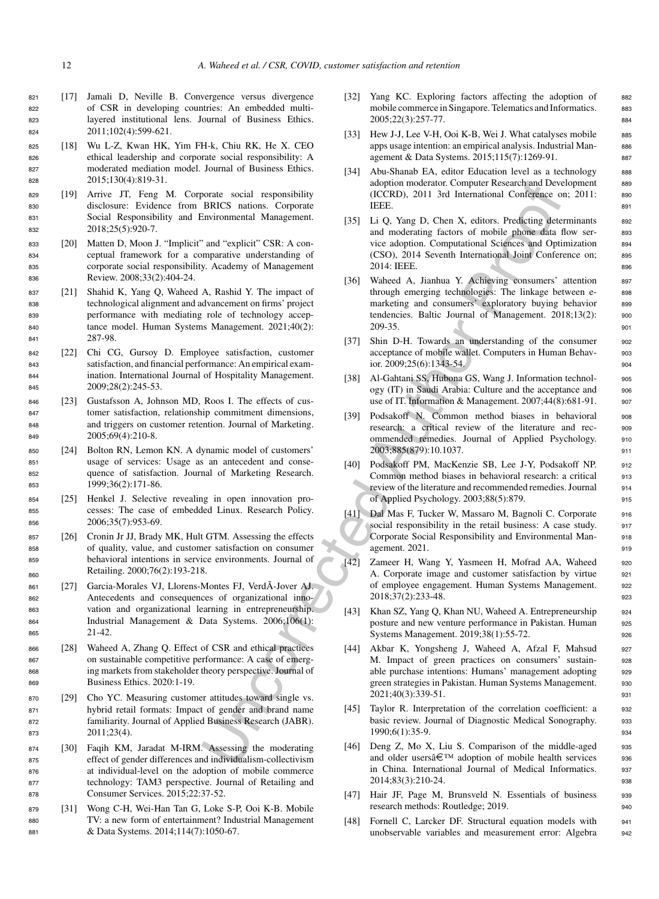- <sup>821</sup> [17] Jamali D, Neville B. Convergence versus divergence <sup>822</sup> of CSR in developing countries: An embedded multi-<sup>823</sup> layered institutional lens. Journal of Business Ethics. <sup>824</sup> 2011;102(4):599-621.
- <sup>825</sup> [18] Wu L-Z, Kwan HK, Yim FH-k, Chiu RK, He X. CEO <sup>826</sup> ethical leadership and corporate social responsibility: A <sup>827</sup> moderated mediation model. Journal of Business Ethics. <sup>828</sup> 2015;130(4):819-31.
- <sup>829</sup> [19] Arrive JT, Feng M. Corporate social responsibility <sup>830</sup> disclosure: Evidence from BRICS nations. Corporate <sup>831</sup> Social Responsibility and Environmental Management. <sup>832</sup> 2018;25(5):920-7.
- <sup>833</sup> [20] Matten D, Moon J. "Implicit" and "explicit" CSR: A con-<sup>834</sup> ceptual framework for a comparative understanding of <sup>835</sup> corporate social responsibility. Academy of Management <sup>836</sup> Review. 2008;33(2):404-24.
- <sup>837</sup> [21] Shahid K, Yang Q, Waheed A, Rashid Y. The impact of <sup>838</sup> technological alignment and advancement on firms' project <sup>839</sup> performance with mediating role of technology accep-<sup>840</sup> tance model. Human Systems Management. 2021;40(2): <sup>841</sup> 287-98.
- <sup>842</sup> [22] Chi CG, Gursoy D. Employee satisfaction, customer <sup>843</sup> satisfaction, and financial performance: An empirical exam-<sup>844</sup> ination. International Journal of Hospitality Management. <sup>845</sup> 2009;28(2):245-53.
- <sup>846</sup> [23] Gustafsson A, Johnson MD, Roos I. The effects of cus-<sup>847</sup> tomer satisfaction, relationship commitment dimensions, <sup>848</sup> and triggers on customer retention. Journal of Marketing. <sup>849</sup> 2005;69(4):210-8.
- <sup>850</sup> [24] Bolton RN, Lemon KN. A dynamic model of customers' <sup>851</sup> usage of services: Usage as an antecedent and conse-<sup>852</sup> quence of satisfaction. Journal of Marketing Research. <sup>853</sup> 1999;36(2):171-86.
- <sup>854</sup> [25] Henkel J. Selective revealing in open innovation pro-<sup>855</sup> cesses: The case of embedded Linux. Research Policy. <sup>856</sup> 2006;35(7):953-69.
- <sup>857</sup> [26] Cronin Jr JJ, Brady MK, Hult GTM. Assessing the effects <sup>858</sup> of quality, value, and customer satisfaction on consumer <sup>859</sup> behavioral intentions in service environments. Journal of Retailing. 2000;76(2):193-218.
- 861 [27] Garcia-Morales VJ, Llorens-Montes FJ, VerdA-Jover AJ. <sup>862</sup> Antecedents and consequences of organizational inno-<sup>863</sup> vation and organizational learning in entrepreneurship. <sup>864</sup> Industrial Management & Data Systems. 2006;106(1): <sup>865</sup> 21-42.
- <sup>866</sup> [28] Waheed A, Zhang Q. Effect of CSR and ethical practices <sup>867</sup> on sustainable competitive performance: A case of emerg-<sup>868</sup> ing markets from stakeholder theory perspective. Journal of <sup>869</sup> Business Ethics. 2020:1-19.
- <sup>870</sup> [29] Cho YC. Measuring customer attitudes toward single vs. <sup>871</sup> hybrid retail formats: Impact of gender and brand name <sup>872</sup> familiarity. Journal of Applied Business Research (JABR). <sup>873</sup> 2011;23(4).
- <sup>874</sup> [30] Faqih KM, Jaradat M-IRM. Assessing the moderating <sup>875</sup> effect of gender differences and individualism-collectivism <sup>876</sup> at individual-level on the adoption of mobile commerce <sup>877</sup> technology: TAM3 perspective. Journal of Retailing and <sup>878</sup> Consumer Services. 2015;22:37-52.
- <sup>879</sup> [31] Wong C-H, Wei-Han Tan G, Loke S-P, Ooi K-B. Mobile <sup>880</sup> TV: a new form of entertainment? Industrial Management <sup>881</sup> & Data Systems. 2014;114(7):1050-67.
- [32] Yang KC. Exploring factors affecting the adoption of 882 mobile commerce in Singapore. Telematics and Informatics. 883 2005;22(3):257-77. <sup>884</sup>
- [33] Hew J-J, Lee V-H, Ooi K-B, Wei J, What catalyses mobile 885 apps usage intention: an empirical analysis. Industrial Man- <sup>886</sup> agement & Data Systems. 2015;115(7):1269-91. 887
- [34] Abu-Shanab EA, editor Education level as a technology 888 adoption moderator. Computer Research and Development 889 (ICCRD), 2011 3rd International Conference on; 2011: <sup>890</sup> **IEEE.** 891
- porate social responsibility<br>
adopton moderation computer Research and Develop and the method configure and the method in the method in the method of the method of the method of the method of the method of the method of th [35] Li Q, Yang D, Chen X, editors. Predicting determinants 892 and moderating factors of mobile phone data flow ser-<br>893 vice adoption. Computational Sciences and Optimization <sup>894</sup> (CSO), 2014 Seventh International Joint Conference on; 895 2014: IEEE. 896
	- [36] Waheed A, Jianhua Y. Achieving consumers' attention 897 through emerging technologies: The linkage between e-<br>s98 marketing and consumers' exploratory buying behavior 899 tendencies. Baltic Journal of Management. 2018;13(2): 900 209-35. 901
	- [37] Shin D-H. Towards an understanding of the consumer 902 acceptance of mobile wallet. Computers in Human Behav- <sup>903</sup> ior. 2009;25(6):1343-54. <sup>904</sup>
	- [38] Al-Gahtani SS, Hubona GS, Wang J. Information technol- 905 ogy (IT) in Saudi Arabia: Culture and the acceptance and <sup>906</sup> use of IT. Information & Management. 2007;44(8):681-91. 907
	- Podsakoff N. Common method biases in behavioral 908 research: a critical review of the literature and rec- <sup>909</sup> ommended remedies. Journal of Applied Psychology. 910 2003;885(879):10.1037. <sup>911</sup>
	- [40] Podsakoff PM, MacKenzie SB, Lee J-Y, Podsakoff NP. 912 Common method biases in behavioral research: a critical 913 review of the literature and recommended remedies. Journal <sup>914</sup> of Applied Psychology. 2003;88(5):879. <sup>915</sup>
	- [41] Dal Mas F, Tucker W, Massaro M, Bagnoli C. Corporate 916 social responsibility in the retail business: A case study. 917 Corporate Social Responsibility and Environmental Man-<br>918 agement. 2021. 919
	- [42] Zameer H, Wang Y, Yasmeen H, Mofrad AA, Waheed 920 A. Corporate image and customer satisfaction by virtue 921 of employee engagement. Human Systems Management. <sup>922</sup> 2018;37(2):233-48. <sup>923</sup>
	- [43] Khan SZ, Yang Q, Khan NU, Waheed A. Entrepreneurship 924 posture and new venture performance in Pakistan. Human 925 Systems Management. 2019;38(1):55-72. 926
	- [44] Akbar K, Yongsheng J, Waheed A, Afzal F, Mahsud <sup>927</sup> M. Impact of green practices on consumers' sustain- <sup>928</sup> able purchase intentions: Humans' management adopting 929 green strategies in Pakistan. Human Systems Management. 930 2021;40(3):339-51. 931
	- [45] Taylor R. Interpretation of the correlation coefficient: a 932 basic review. Journal of Diagnostic Medical Sonography. 933 1990;6(1):35-9. 934
	- [46] Deng Z, Mo X, Liu S. Comparison of the middle-aged 935 and older users $\hat{a} \in \mathbb{T}^M$  adoption of mobile health services 936 in China. International Journal of Medical Informatics. 937 in China. International Journal of Medical Informatics. 2014;83(3):210-24. 938
	- [47] Hair JF, Page M, Brunsveld N. Essentials of business 939 research methods: Routledge; 2019. 940
	- [48] Fornell C, Larcker DF. Structural equation models with 941 unobservable variables and measurement error: Algebra <sup>942</sup>